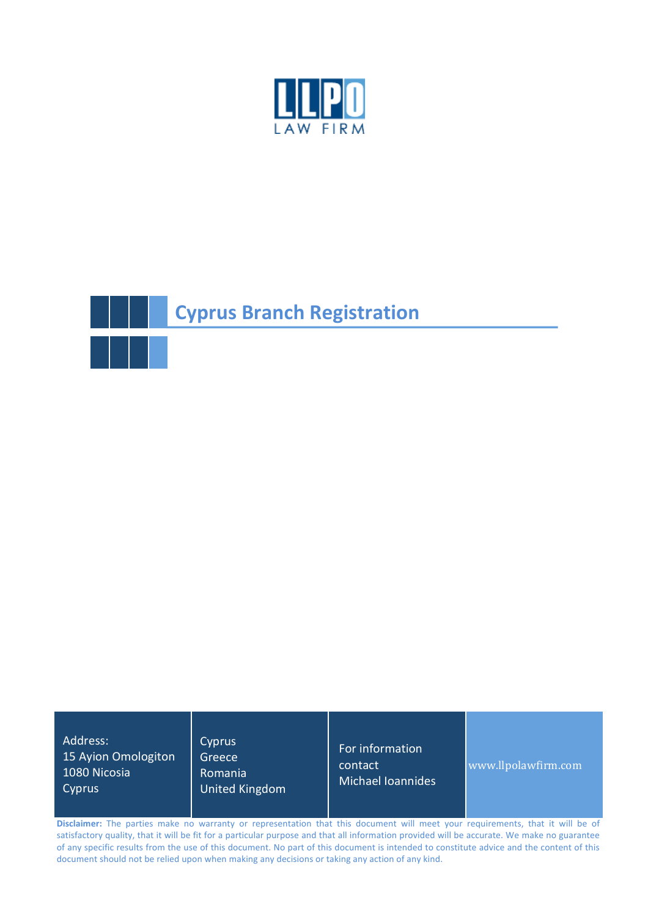



Address: 15 Ayion Omologiton 1080 Nicosia Cyprus

**Cyprus** Greece

Romania United Kingdom For information contact Michael Ioannides

www.llpolawfirm.com

Disclaimer: The parties make no warranty or representation that this document will meet your requirements, that it will be of satisfactory quality, that it will be fit for a particular purpose and that all information provided will be accurate. We make no guarantee of any specific results from the use of this document. No part of this document is intended to constitute advice and the content of this document should not be relied upon when making any decisions or taking any action of any kind.